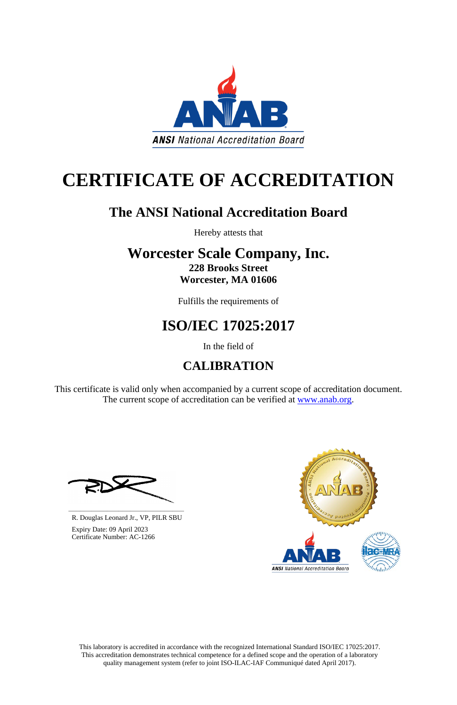This laboratory is accredited in accordance with the recognized International Standard ISO/IEC 17025:2017. This accreditation demonstrates technical competence for a defined scope and the operation of a laboratory quality management system (refer to joint ISO-ILAC-IAF Communiqué dated April 2017).

This certificate is valid only when accompanied by a current scope of accreditation document. The current scope of accreditation can be verified at [www.anab.org.](http://www.anab.org/)





# **CERTIFICATE OF ACCREDITATION**

### **The ANSI National Accreditation Board**

Hereby attests that

### **Worcester Scale Company, Inc. 228 Brooks Street Worcester, MA 01606**

Fulfills the requirements of

## **ISO/IEC 17025:2017**

In the field of

## **CALIBRATION**

**\_\_\_\_\_\_\_\_\_\_\_\_\_\_\_\_\_\_\_\_\_\_\_\_\_\_\_\_\_\_** R. Douglas Leonard Jr., VP, PILR SBU



 Expiry Date: 09 April 2023 Certificate Number: AC-1266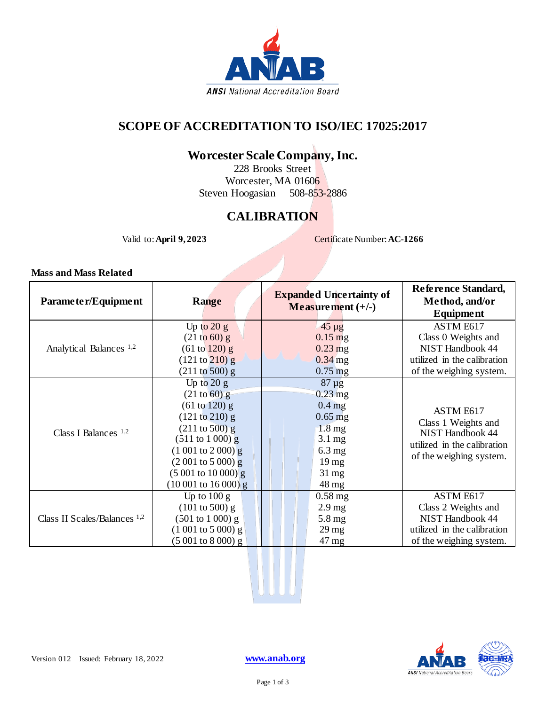

#### **SCOPE OF ACCREDITATION TO ISO/IEC 17025:2017**

### **Worcester Scale Company, Inc.**

228 Brooks Street Worcester, MA 01606 Steven Hoogasian 508-853-2886

#### **CALIBRATION**

Valid to: **April 9, 2023** Certificate Number: **AC-1266** 

**Mass and Mass Related**

| Parameter/Equipment                | <b>Range</b>                        | <b>Expanded Uncertainty of</b><br>Measurement $(+/-)$ | Reference Standard,<br>Method, and/or<br><b>Equipment</b>                     |
|------------------------------------|-------------------------------------|-------------------------------------------------------|-------------------------------------------------------------------------------|
| Analytical Balances <sup>1,2</sup> | Up to $20 g$<br>(21 to 60) g        | $45 \mu g$<br>$0.15$ mg                               | ASTM E617<br>Class 0 Weights and                                              |
|                                    | (61 to 120) g                       | $0.23$ mg                                             | NIST Handbook 44                                                              |
|                                    | $(121 \text{ to } 210) \text{ g}$   | $0.34$ mg                                             | utilized in the calibration                                                   |
|                                    | $(211 \text{ to } 500)$ g           | $0.75$ mg                                             | of the weighing system.                                                       |
| Class I Balances $1,2$             | Up to $20 g$                        | $87 \mu g$                                            |                                                                               |
|                                    | $(21 \text{ to } 60) \text{ g}$     | $0.23$ mg                                             |                                                                               |
|                                    | (61 to 120) g                       | $0.4$ mg                                              | ASTM E617                                                                     |
|                                    | (121 to 210) g                      | $0.65$ mg                                             | Class 1 Weights and<br><b>NIST Handbook 44</b><br>utilized in the calibration |
|                                    | $(211 \text{ to } 500) \text{ g}$   | $1.8 \text{ mg}$                                      |                                                                               |
|                                    | $(511 \text{ to } 1000) \text{ g}$  | $3.1 \,\mathrm{mg}$                                   |                                                                               |
|                                    | $(1\ 001\ to\ 2\ 000)$ g            | $6.3 \text{ mg}$                                      | of the weighing system.                                                       |
|                                    | $(2001 \text{ to } 5000) \text{ g}$ | $19 \text{ mg}$                                       |                                                                               |
|                                    | $(5001 \text{ to } 10000)$ g        | $31 \text{ mg}$                                       |                                                                               |
|                                    | $(10001 \text{ to } 16000)$ g       | $48 \,\mathrm{mg}$                                    |                                                                               |
| Class II Scales/Balances $1,2$     | Up to $100 g$                       | $0.58$ mg                                             | ASTM E617                                                                     |
|                                    | $(101 \text{ to } 500) \text{ g}$   | 2.9 <sub>mg</sub>                                     | Class 2 Weights and                                                           |
|                                    | $(501 to 1000)$ g                   | $5.8 \,\mathrm{mg}$                                   | <b>NIST Handbook 44</b>                                                       |
|                                    | $(1001 to 5000)$ g                  | $29 \,\mathrm{mg}$                                    | utilized in the calibration                                                   |
|                                    | $(5001 to 8000)$ g                  | $47 \text{ mg}$                                       | of the weighing system.                                                       |

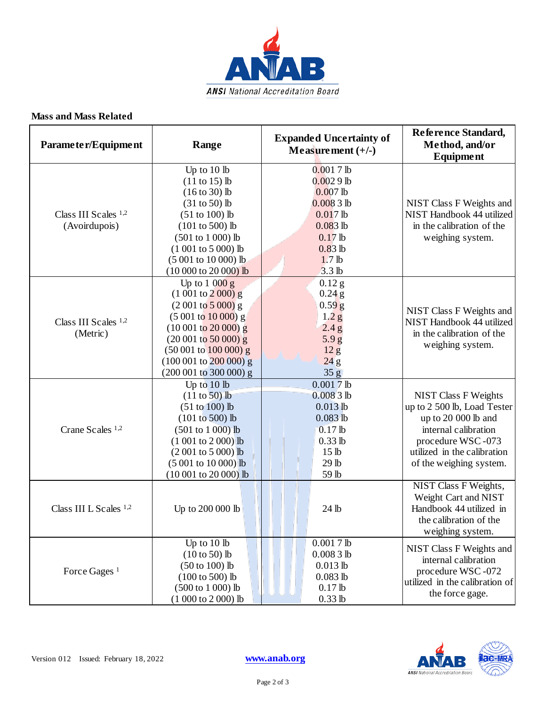

#### **Mass and Mass Related**

| Parameter/Equipment                     | Range                                                                                                                                                                                                                                                 | <b>Expanded Uncertainty of</b><br>Measurement $(+/-)$                                                                                                   | Reference Standard,<br>Method, and/or<br><b>Equipment</b>                                                                                                                                |
|-----------------------------------------|-------------------------------------------------------------------------------------------------------------------------------------------------------------------------------------------------------------------------------------------------------|---------------------------------------------------------------------------------------------------------------------------------------------------------|------------------------------------------------------------------------------------------------------------------------------------------------------------------------------------------|
| Class III Scales $1,2$<br>(Avoirdupois) | Up to $10$ lb<br>$(11 to 15)$ lb<br>$(16 to 30)$ lb<br>$(31 to 50)$ lb<br>$(51 to 100)$ lb<br>$(101 to 500)$ lb<br>$(501 to 1000)$ lb<br>$(1001 to 5000)$ lb<br>(5 001 to 10 000) lb<br>$(10000 to 20000)$ lb                                         | $0.0017$ lb<br>$0.0029$ lb<br>$0.007$ lb<br>$0.0083$ lb<br>$0.017$ lb<br>$0.083$ lb<br>$0.17$ lb<br>$0.83$ lb<br>1.7 <sub>lb</sub><br>3.3 <sub>lb</sub> | NIST Class F Weights and<br>NIST Handbook 44 utilized<br>in the calibration of the<br>weighing system.                                                                                   |
| Class III Scales 1,2<br>(Metric)        | Up to $1000g$<br>$(1001 to 2000)$ g<br>$(2001 \text{ to } 5000)$ g<br>$(5001 \text{ to } 10000)$ g<br>$(10001 \text{ to } 20000) \text{ g}$<br>$(20001$ to 50 000) g<br>$(50001$ to $100000)$ g<br>$(100001$ to $200000)$ g<br>(200 001 to 300 000) g | $0.12$ g<br>$0.24$ g<br>$0.59$ $g$<br>1.2 <sub>g</sub><br>2.4 g<br>5.9 <sub>g</sub><br>12 <sub>g</sub><br>24g<br>35 <sub>g</sub>                        | NIST Class F Weights and<br>NIST Handbook 44 utilized<br>in the calibration of the<br>weighing system.                                                                                   |
| Crane Scales 1,2                        | Up to 10 lb<br>$(11 to 50)$ lb<br>$(51 to 100)$ lb<br>$(101 to 500)$ lb<br>$(501 to 1000)$ lb<br>$(1001 to 2000)$ lb<br>$(2001 \text{ to } 5000)$ lb<br>$(5001 to 10000)$ lb<br>$(10001$ to 20 000) lb                                                | $0.0017$ lb<br>$0.0083$ lb<br>$0.013$ lb<br>$0.083$ <sub>lb</sub><br>$0.17$ lb<br>$0.33$ lb<br>15 <sub>lb</sub><br>29 lb<br>59 lb                       | <b>NIST Class F Weights</b><br>up to 2 500 lb, Load Tester<br>up to 20 000 lb and<br>internal calibration<br>procedure WSC-073<br>utilized in the calibration<br>of the weighing system. |
| Class III L Scales <sup>1,2</sup>       | Up to 200 000 lb                                                                                                                                                                                                                                      | 24 lb                                                                                                                                                   | NIST Class F Weights,<br>Weight Cart and NIST<br>Handbook 44 utilized in<br>the calibration of the<br>weighing system.                                                                   |
| Force Gages <sup>1</sup>                | Up to 10 lb<br>$(10 to 50)$ lb<br>$(50 to 100)$ lb<br>$(100 to 500)$ lb<br>(500 to 1 000) lb<br>$(1000 to 2000)$ lb                                                                                                                                   | $0.0017$ lb<br>$0.0083$ lb<br>$0.013$ lb<br>$0.083$ lb<br>$0.17$ lb<br>$0.33$ lb                                                                        | NIST Class F Weights and<br>internal calibration<br>procedure WSC-072<br>utilized in the calibration of<br>the force gage.                                                               |



Page 2 of 3